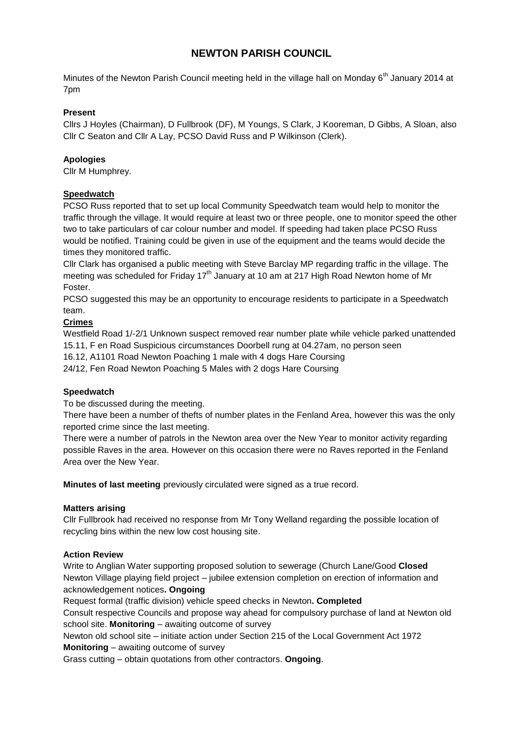# **NEWTON PARISH COUNCIL**

Minutes of the Newton Parish Council meeting held in the village hall on Monday 6<sup>th</sup> January 2014 at 7pm

## **Present**

Cllrs J Hoyles (Chairman), D Fullbrook (DF), M Youngs, S Clark, J Kooreman, D Gibbs, A Sloan, also Cllr C Seaton and Cllr A Lay, PCSO David Russ and P Wilkinson (Clerk).

# **Apologies**

Cllr M Humphrey.

# **Speedwatch**

PCSO Russ reported that to set up local Community Speedwatch team would help to monitor the traffic through the village. It would require at least two or three people, one to monitor speed the other two to take particulars of car colour number and model. If speeding had taken place PCSO Russ would be notified. Training could be given in use of the equipment and the teams would decide the times they monitored traffic.

Cllr Clark has organised a public meeting with Steve Barclay MP regarding traffic in the village. The meeting was scheduled for Friday 17<sup>th</sup> January at 10 am at 217 High Road Newton home of Mr Foster.

PCSO suggested this may be an opportunity to encourage residents to participate in a Speedwatch team.

# **Crimes**

Westfield Road 1/-2/1 Unknown suspect removed rear number plate while vehicle parked unattended 15.11, F en Road Suspicious circumstances Doorbell rung at 04.27am, no person seen

16.12, A1101 Road Newton Poaching 1 male with 4 dogs Hare Coursing

24/12, Fen Road Newton Poaching 5 Males with 2 dogs Hare Coursing

### **Speedwatch**

To be discussed during the meeting.

There have been a number of thefts of number plates in the Fenland Area, however this was the only reported crime since the last meeting.

There were a number of patrols in the Newton area over the New Year to monitor activity regarding possible Raves in the area. However on this occasion there were no Raves reported in the Fenland Area over the New Year.

**Minutes of last meeting** previously circulated were signed as a true record.

### **Matters arising**

Cllr Fullbrook had received no response from Mr Tony Welland regarding the possible location of recycling bins within the new low cost housing site.

### **Action Review**

Write to Anglian Water supporting proposed solution to sewerage (Church Lane/Good **Closed** Newton Village playing field project – jubilee extension completion on erection of information and acknowledgement notices**. Ongoing**

Request formal (traffic division) vehicle speed checks in Newton**. Completed**

Consult respective Councils and propose way ahead for compulsory purchase of land at Newton old school site. **Monitoring** – awaiting outcome of survey

Newton old school site – initiate action under Section 215 of the Local Government Act 1972 **Monitoring** – awaiting outcome of survey

Grass cutting – obtain quotations from other contractors. **Ongoing**.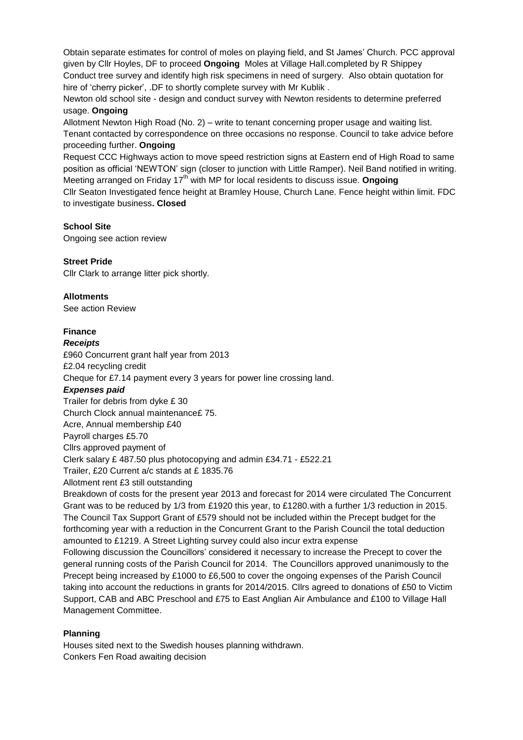Obtain separate estimates for control of moles on playing field, and St James' Church. PCC approval given by Cllr Hoyles, DF to proceed **Ongoing** Moles at Village Hall.completed by R Shippey Conduct tree survey and identify high risk specimens in need of surgery. Also obtain quotation for hire of 'cherry picker', .DF to shortly complete survey with Mr Kublik .

Newton old school site - design and conduct survey with Newton residents to determine preferred usage. **Ongoing**

Allotment Newton High Road (No. 2) – write to tenant concerning proper usage and waiting list. Tenant contacted by correspondence on three occasions no response. Council to take advice before proceeding further. **Ongoing**

Request CCC Highways action to move speed restriction signs at Eastern end of High Road to same position as official 'NEWTON' sign (closer to junction with Little Ramper). Neil Band notified in writing. Meeting arranged on Friday 17th with MP for local residents to discuss issue. **Ongoing**

Cllr Seaton Investigated fence height at Bramley House, Church Lane. Fence height within limit. FDC to investigate business**. Closed**

#### **School Site**

Ongoing see action review

#### **Street Pride**

Cllr Clark to arrange litter pick shortly.

#### **Allotments**

See action Review

### **Finance**

#### *Receipts*

£960 Concurrent grant half year from 2013 £2.04 recycling credit Cheque for £7.14 payment every 3 years for power line crossing land.

#### *Expenses paid*

Trailer for debris from dyke £ 30 Church Clock annual maintenance£ 75. Acre, Annual membership £40 Payroll charges £5.70 Cllrs approved payment of Clerk salary £ 487.50 plus photocopying and admin £34.71 - £522.21 Trailer, £20 Current a/c stands at £ 1835.76 Allotment rent £3 still outstanding

Breakdown of costs for the present year 2013 and forecast for 2014 were circulated The Concurrent Grant was to be reduced by 1/3 from £1920 this year, to £1280.with a further 1/3 reduction in 2015. The Council Tax Support Grant of £579 should not be included within the Precept budget for the forthcoming year with a reduction in the Concurrent Grant to the Parish Council the total deduction amounted to £1219. A Street Lighting survey could also incur extra expense

Following discussion the Councillors' considered it necessary to increase the Precept to cover the general running costs of the Parish Council for 2014. The Councillors approved unanimously to the Precept being increased by £1000 to £6,500 to cover the ongoing expenses of the Parish Council taking into account the reductions in grants for 2014/2015. Cllrs agreed to donations of £50 to Victim Support, CAB and ABC Preschool and £75 to East Anglian Air Ambulance and £100 to Village Hall Management Committee.

### **Planning**

Houses sited next to the Swedish houses planning withdrawn. Conkers Fen Road awaiting decision